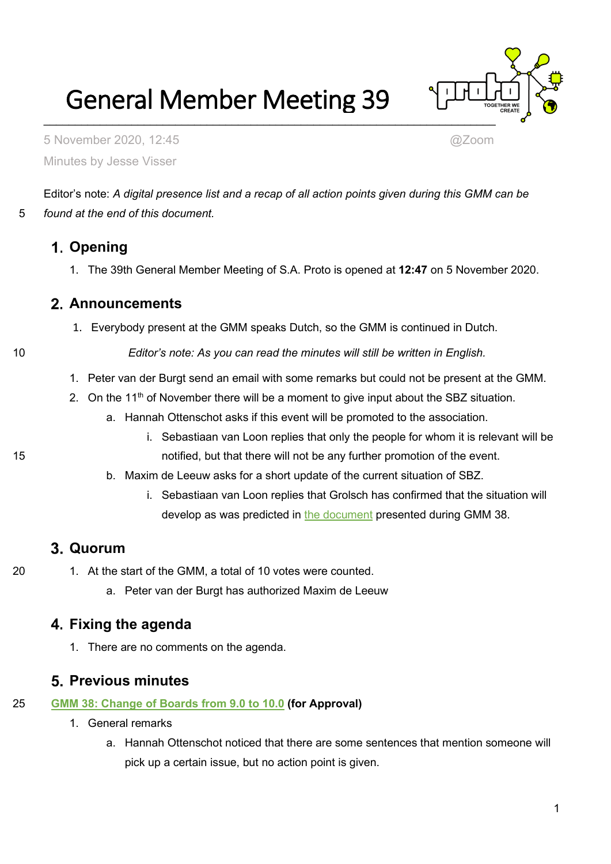General Member Meeting 39



5 November 2020, 12:45 @Zoom Minutes by Jesse Visser

Editor's note: *A digital presence list and a recap of all action points given during this GMM can be*  5 *found at the end of this document.*

# **Opening**

1. The 39th General Member Meeting of S.A. Proto is opened at **12:47** on 5 November 2020.

## **Announcements**

1. Everybody present at the GMM speaks Dutch, so the GMM is continued in Dutch.

10 *Editor's note: As you can read the minutes will still be written in English.*

- 1. Peter van der Burgt send an email with some remarks but could not be present at the GMM.
- 2. On the 11<sup>th</sup> of November there will be a moment to give input about the SBZ situation.
	- a. Hannah Ottenschot asks if this event will be promoted to the association.
- i. Sebastiaan van Loon replies that only the people for whom it is relevant will be 15 notified, but that there will not be any further promotion of the event.
	- b. Maxim de Leeuw asks for a short update of the current situation of SBZ.
		- i. Sebastiaan van Loon replies that Grolsch has confirmed that the situation will develop as was predicted in [the document](https://wiki.proto.utwente.nl/_media/proto/gmmdocs/sbz_loan_proposal.pdf) presented during GMM 38.

## **Quorum**

- 20 1. At the start of the GMM, a total of 10 votes were counted.
	- a. Peter van der Burgt has authorized Maxim de Leeuw

## **Fixing the agenda**

1. There are no comments on the agenda.

## **Previous minutes**

- 25 **[GMM 38: Change of Boards from 9.0 to 10.0](https://wiki.proto.utwente.nl/_media/proto/gmmdocs/minutes_gmm38_2020_09_02.pdf) (for Approval)**
	- 1. General remarks
		- a. Hannah Ottenschot noticed that there are some sentences that mention someone will pick up a certain issue, but no action point is given.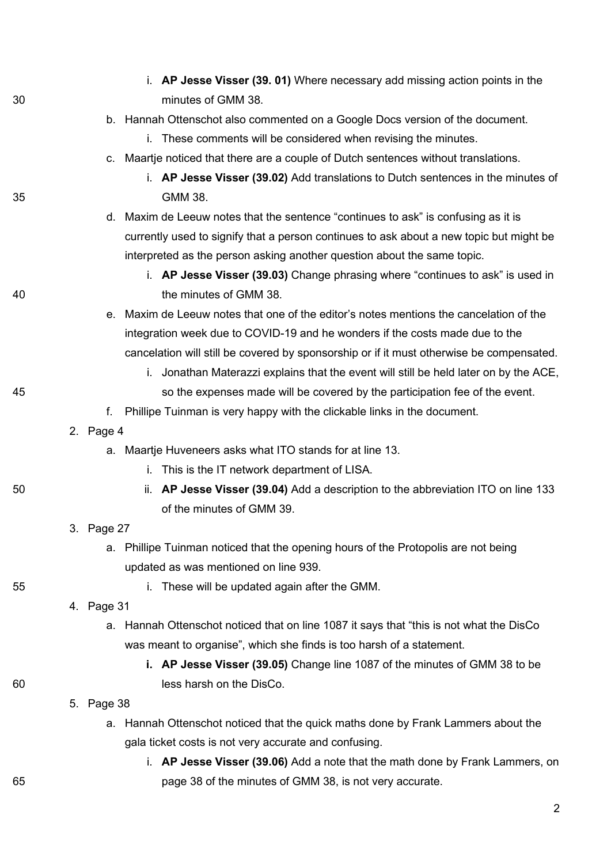|    | i. AP Jesse Visser (39. 01) Where necessary add missing action points in the             |  |
|----|------------------------------------------------------------------------------------------|--|
| 30 | minutes of GMM 38.                                                                       |  |
|    | b. Hannah Ottenschot also commented on a Google Docs version of the document.            |  |
|    | i. These comments will be considered when revising the minutes.                          |  |
|    | c. Maartje noticed that there are a couple of Dutch sentences without translations.      |  |
|    | i. AP Jesse Visser (39.02) Add translations to Dutch sentences in the minutes of         |  |
| 35 | GMM 38.                                                                                  |  |
|    | d. Maxim de Leeuw notes that the sentence "continues to ask" is confusing as it is       |  |
|    | currently used to signify that a person continues to ask about a new topic but might be  |  |
|    | interpreted as the person asking another question about the same topic.                  |  |
|    | i. AP Jesse Visser (39.03) Change phrasing where "continues to ask" is used in           |  |
| 40 | the minutes of GMM 38.                                                                   |  |
|    | e. Maxim de Leeuw notes that one of the editor's notes mentions the cancelation of the   |  |
|    | integration week due to COVID-19 and he wonders if the costs made due to the             |  |
|    | cancelation will still be covered by sponsorship or if it must otherwise be compensated. |  |
|    | i. Jonathan Materazzi explains that the event will still be held later on by the ACE,    |  |
| 45 | so the expenses made will be covered by the participation fee of the event.              |  |
|    | Phillipe Tuinman is very happy with the clickable links in the document.<br>f.           |  |
|    | 2. Page 4                                                                                |  |
|    | a. Maartje Huveneers asks what ITO stands for at line 13.                                |  |
|    | This is the IT network department of LISA.<br>i.                                         |  |
| 50 | AP Jesse Visser (39.04) Add a description to the abbreviation ITO on line 133<br>ii.     |  |
|    | of the minutes of GMM 39.                                                                |  |
|    | 3. Page 27                                                                               |  |
|    | a. Phillipe Tuinman noticed that the opening hours of the Protopolis are not being       |  |
|    | updated as was mentioned on line 939.                                                    |  |
| 55 | These will be updated again after the GMM.<br>İ.                                         |  |
|    | 4. Page 31                                                                               |  |
|    | a. Hannah Ottenschot noticed that on line 1087 it says that "this is not what the DisCo  |  |
|    | was meant to organise", which she finds is too harsh of a statement.                     |  |
|    | i. AP Jesse Visser (39.05) Change line 1087 of the minutes of GMM 38 to be               |  |
| 60 | less harsh on the DisCo.                                                                 |  |
|    | 5. Page 38                                                                               |  |
|    | Hannah Ottenschot noticed that the quick maths done by Frank Lammers about the<br>а.     |  |
|    | gala ticket costs is not very accurate and confusing.                                    |  |
|    | i. AP Jesse Visser (39.06) Add a note that the math done by Frank Lammers, on            |  |
| 65 | page 38 of the minutes of GMM 38, is not very accurate.                                  |  |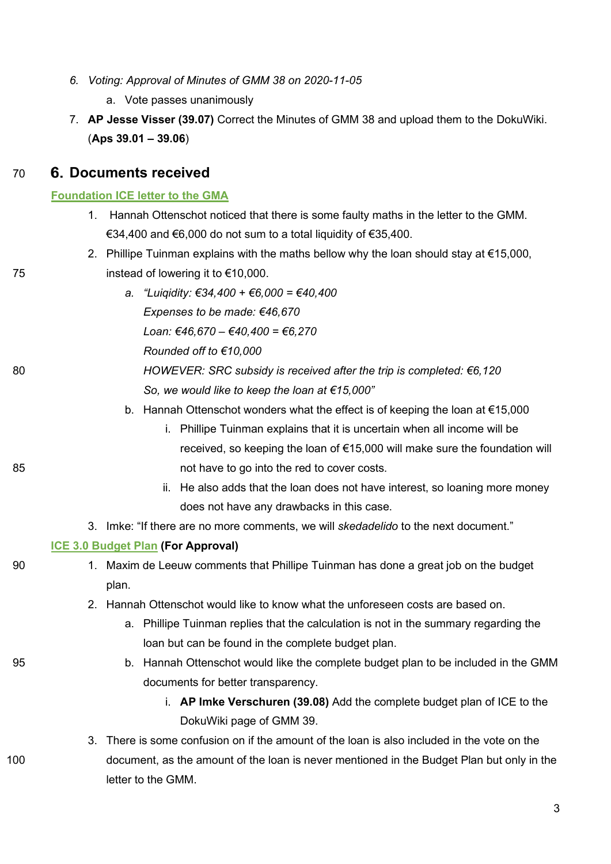- *6. Voting: Approval of Minutes of GMM 38 on 2020-11-05*
	- a. Vote passes unanimously
- 7. **AP Jesse Visser (39.07)** Correct the Minutes of GMM 38 and upload them to the DokuWiki. (**Aps 39.01 – 39.06**)

#### 70 **Documents received**

#### **[Foundation ICE letter to the GMA](https://wiki.proto.utwente.nl/_media/proto/gmmdocs/proto_gma_foundation_ice_document.pdf)**

- 1. Hannah Ottenschot noticed that there is some faulty maths in the letter to the GMM. €34,400 and €6,000 do not sum to a total liquidity of €35,400.
- 2. Phillipe Tuinman explains with the maths bellow why the loan should stay at €15,000, 75 instead of lowering it to €10,000.
- *a. "Luiqidity: €34,400 + €6,000 = €40,400 Expenses to be made: €46,670 Loan: €46,670 – €40,400 = €6,270 Rounded off to €10,000* 80 *HOWEVER: SRC subsidy is received after the trip is completed: €6,120 So, we would like to keep the loan at €15,000"*
	- b. Hannah Ottenschot wonders what the effect is of keeping the loan at €15,000
- i. Phillipe Tuinman explains that it is uncertain when all income will be received, so keeping the loan of €15,000 will make sure the foundation will 85 not have to go into the red to cover costs.
	- ii. He also adds that the loan does not have interest, so loaning more money does not have any drawbacks in this case.
	- 3. Imke: "If there are no more comments, we will *skedadelido* to the next document."

#### **[ICE 3.0 Budget Plan](https://wiki.proto.utwente.nl/_media/proto/gmmdocs/ice_3.0_-_budget_plan.pdf) (For Approval)**

- 90 1. Maxim de Leeuw comments that Phillipe Tuinman has done a great job on the budget plan.
	- 2. Hannah Ottenschot would like to know what the unforeseen costs are based on.
		- a. Phillipe Tuinman replies that the calculation is not in the summary regarding the loan but can be found in the complete budget plan.
- 95 b. Hannah Ottenschot would like the complete budget plan to be included in the GMM documents for better transparency.
	- i. **AP Imke Verschuren (39.08)** Add the complete budget plan of ICE to the DokuWiki page of GMM 39.
- 3. There is some confusion on if the amount of the loan is also included in the vote on the 100 document, as the amount of the loan is never mentioned in the Budget Plan but only in the letter to the GMM.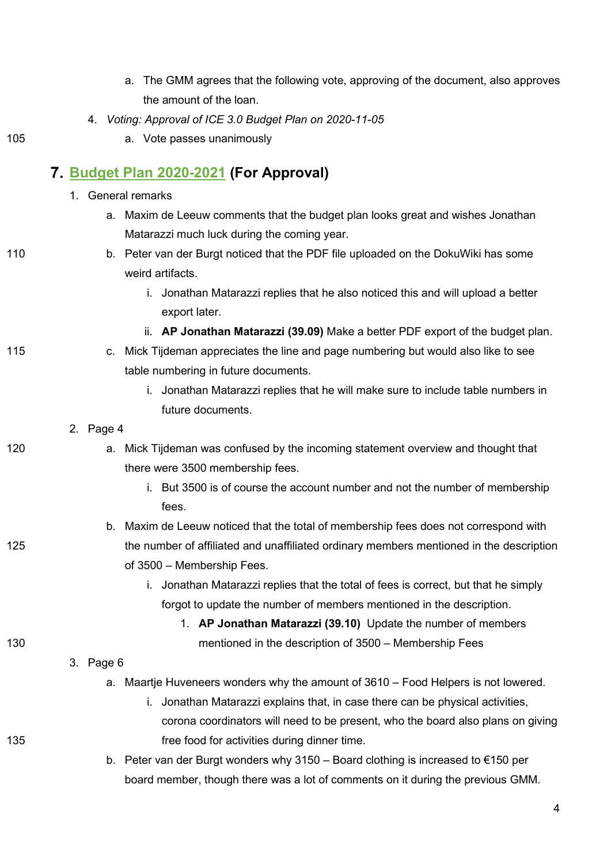| a. The GMM agrees that the following vote, approving of the document, also approves |
|-------------------------------------------------------------------------------------|
| the amount of the loan.                                                             |

4. *Voting: Approval of ICE 3.0 Budget Plan on 2020-11-05*

a. Vote passes unanimously

# **[Budget Plan 2020-2021](https://wiki.proto.utwente.nl/_media/proto/gmmdocs/budgetplan-2020-2021_revised.pdf) (For Approval)**

|     |           | 1. General remarks                                                                          |  |  |
|-----|-----------|---------------------------------------------------------------------------------------------|--|--|
|     |           | a. Maxim de Leeuw comments that the budget plan looks great and wishes Jonathan             |  |  |
|     |           | Matarazzi much luck during the coming year.                                                 |  |  |
| 110 |           | b. Peter van der Burgt noticed that the PDF file uploaded on the DokuWiki has some          |  |  |
|     |           | weird artifacts.                                                                            |  |  |
|     |           | i. Jonathan Matarazzi replies that he also noticed this and will upload a better            |  |  |
|     |           | export later.                                                                               |  |  |
|     |           | ii. AP Jonathan Matarazzi (39.09) Make a better PDF export of the budget plan.              |  |  |
| 115 |           | c. Mick Tijdeman appreciates the line and page numbering but would also like to see         |  |  |
|     |           | table numbering in future documents.                                                        |  |  |
|     |           | i. Jonathan Matarazzi replies that he will make sure to include table numbers in            |  |  |
|     |           | future documents.                                                                           |  |  |
|     | 2. Page 4 |                                                                                             |  |  |
| 120 |           | a. Mick Tijdeman was confused by the incoming statement overview and thought that           |  |  |
|     |           | there were 3500 membership fees.                                                            |  |  |
|     |           | i. But 3500 is of course the account number and not the number of membership                |  |  |
|     |           | fees.                                                                                       |  |  |
|     |           | b. Maxim de Leeuw noticed that the total of membership fees does not correspond with        |  |  |
| 125 |           | the number of affiliated and unaffiliated ordinary members mentioned in the description     |  |  |
|     |           | of 3500 - Membership Fees.                                                                  |  |  |
|     |           | i. Jonathan Matarazzi replies that the total of fees is correct, but that he simply         |  |  |
|     |           | forgot to update the number of members mentioned in the description.                        |  |  |
|     |           | 1. AP Jonathan Matarazzi (39.10) Update the number of members                               |  |  |
| 130 |           | mentioned in the description of 3500 - Membership Fees                                      |  |  |
|     | 3. Page 6 |                                                                                             |  |  |
|     |           | a. Maartje Huveneers wonders why the amount of 3610 – Food Helpers is not lowered.          |  |  |
|     |           | i. Jonathan Matarazzi explains that, in case there can be physical activities,              |  |  |
|     |           | corona coordinators will need to be present, who the board also plans on giving             |  |  |
| 135 |           | free food for activities during dinner time.                                                |  |  |
|     |           | b. Peter van der Burgt wonders why 3150 – Board clothing is increased to $\epsilon$ 150 per |  |  |
|     |           | board member, though there was a lot of comments on it during the previous GMM.             |  |  |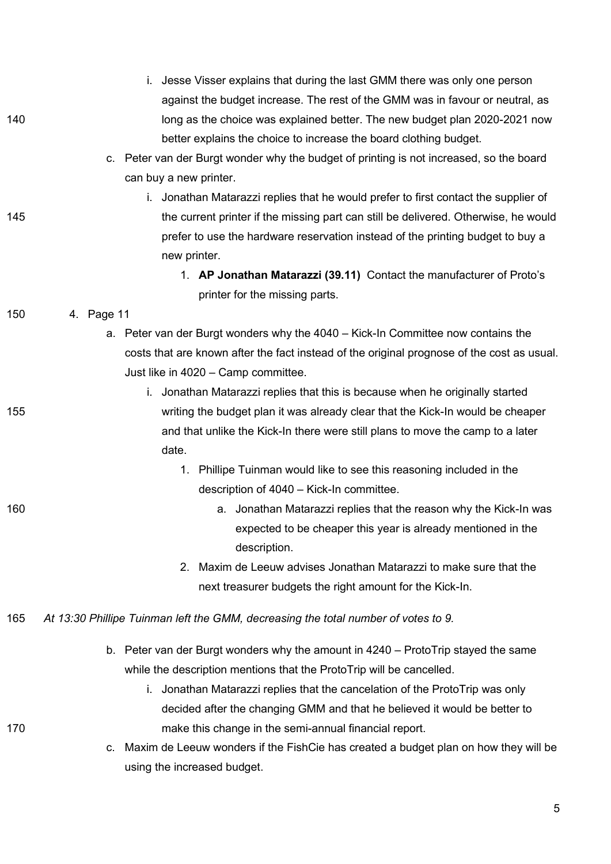|     | i. Jesse Visser explains that during the last GMM there was only one person                |
|-----|--------------------------------------------------------------------------------------------|
|     | against the budget increase. The rest of the GMM was in favour or neutral, as              |
| 140 | long as the choice was explained better. The new budget plan 2020-2021 now                 |
|     | better explains the choice to increase the board clothing budget.                          |
|     | c. Peter van der Burgt wonder why the budget of printing is not increased, so the board    |
|     | can buy a new printer.                                                                     |
|     | i. Jonathan Matarazzi replies that he would prefer to first contact the supplier of        |
| 145 | the current printer if the missing part can still be delivered. Otherwise, he would        |
|     | prefer to use the hardware reservation instead of the printing budget to buy a             |
|     | new printer.                                                                               |
|     | 1. AP Jonathan Matarazzi (39.11) Contact the manufacturer of Proto's                       |
|     | printer for the missing parts.                                                             |
| 150 | 4. Page 11                                                                                 |
|     | a. Peter van der Burgt wonders why the 4040 – Kick-In Committee now contains the           |
|     | costs that are known after the fact instead of the original prognose of the cost as usual. |
|     | Just like in 4020 - Camp committee.                                                        |
|     | i. Jonathan Matarazzi replies that this is because when he originally started              |
| 155 | writing the budget plan it was already clear that the Kick-In would be cheaper             |
|     | and that unlike the Kick-In there were still plans to move the camp to a later             |
|     | date.                                                                                      |
|     | 1. Phillipe Tuinman would like to see this reasoning included in the                       |
|     | description of 4040 - Kick-In committee.                                                   |
| 160 | a. Jonathan Matarazzi replies that the reason why the Kick-In was                          |
|     | expected to be cheaper this year is already mentioned in the                               |
|     | description.                                                                               |
|     | Maxim de Leeuw advises Jonathan Matarazzi to make sure that the<br>2.                      |
|     | next treasurer budgets the right amount for the Kick-In.                                   |
| 165 | At 13:30 Phillipe Tuinman left the GMM, decreasing the total number of votes to 9.         |
|     | b. Peter van der Burgt wonders why the amount in $4240 -$ ProtoTrip stayed the same        |
|     | while the description mentions that the ProtoTrip will be cancelled.                       |
|     | i. Jonathan Matarazzi replies that the cancelation of the ProtoTrip was only               |
|     | decided after the changing GMM and that he believed it would be better to                  |
| 170 | make this change in the semi-annual financial report.                                      |
|     | Maxim de Leeuw wonders if the FishCie has created a budget plan on how they will be<br>c.  |
|     | using the increased budget.                                                                |

5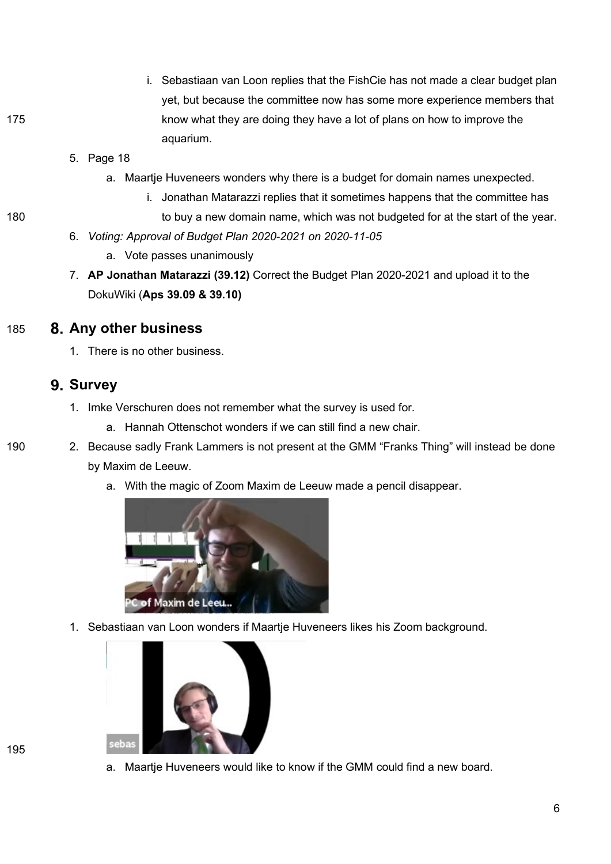- i. Sebastiaan van Loon replies that the FishCie has not made a clear budget plan yet, but because the committee now has some more experience members that 175 **know what they are doing they have a lot of plans on how to improve the** aquarium.
	- 5. Page 18
		- a. Maartje Huveneers wonders why there is a budget for domain names unexpected.
			- i. Jonathan Matarazzi replies that it sometimes happens that the committee has
- 180 to buy a new domain name, which was not budgeted for at the start of the year.
	- 6. *Voting: Approval of Budget Plan 2020-2021 on 2020-11-05*
		- a. Vote passes unanimously
	- 7. **AP Jonathan Matarazzi (39.12)** Correct the Budget Plan 2020-2021 and upload it to the DokuWiki (**Aps 39.09 & 39.10)**

#### 185 **Any other business**

1. There is no other business.

### **9. Survey**

- 1. Imke Verschuren does not remember what the survey is used for.
	- a. Hannah Ottenschot wonders if we can still find a new chair.
- 190 2. Because sadly Frank Lammers is not present at the GMM "Franks Thing" will instead be done by Maxim de Leeuw.
	- a. With the magic of Zoom Maxim de Leeuw made a pencil disappear.



1. Sebastiaan van Loon wonders if Maartje Huveneers likes his Zoom background.



a. Maartje Huveneers would like to know if the GMM could find a new board.

195

6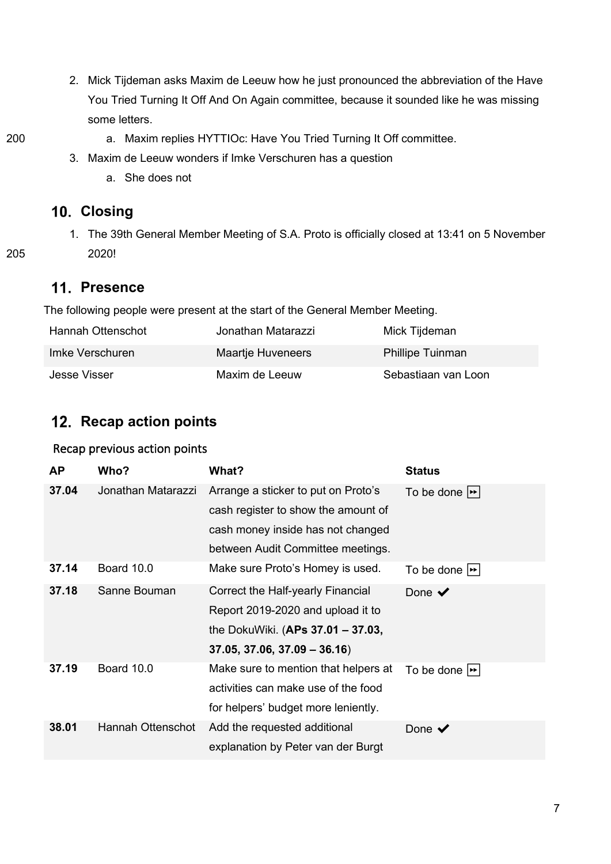- 2. Mick Tijdeman asks Maxim de Leeuw how he just pronounced the abbreviation of the Have You Tried Turning It Off And On Again committee, because it sounded like he was missing some letters.
- 
- 200 a. Maxim replies HYTTIOc: Have You Tried Turning It Off committee.
	- 3. Maxim de Leeuw wonders if Imke Verschuren has a question
		- a. She does not

## **Closing**

1. The 39th General Member Meeting of S.A. Proto is officially closed at 13:41 on 5 November 205 2020!

## **Presence**

The following people were present at the start of the General Member Meeting.

| Hannah Ottenschot | Jonathan Matarazzi | Mick Tijdeman           |
|-------------------|--------------------|-------------------------|
| Imke Verschuren   | Maartje Huveneers  | <b>Phillipe Tuinman</b> |
| Jesse Visser      | Maxim de Leeuw     | Sebastiaan van Loon     |

## 12. Recap action points

#### Recap previous action points

| <b>AP</b> | Who?               | What?                                | <b>Status</b>              |
|-----------|--------------------|--------------------------------------|----------------------------|
| 37.04     | Jonathan Matarazzi | Arrange a sticker to put on Proto's  | To be done $ \rightarrow $ |
|           |                    | cash register to show the amount of  |                            |
|           |                    | cash money inside has not changed    |                            |
|           |                    | between Audit Committee meetings.    |                            |
| 37.14     | <b>Board 10.0</b>  | Make sure Proto's Homey is used.     | To be done $ \rightarrow $ |
| 37.18     | Sanne Bouman       | Correct the Half-yearly Financial    | Done $\checkmark$          |
|           |                    | Report 2019-2020 and upload it to    |                            |
|           |                    | the DokuWiki. (APs 37.01 - 37.03,    |                            |
|           |                    | $37.05, 37.06, 37.09 - 36.16$        |                            |
| 37.19     | Board 10.0         | Make sure to mention that helpers at | To be done $ \rightarrow $ |
|           |                    | activities can make use of the food  |                            |
|           |                    | for helpers' budget more leniently.  |                            |
| 38.01     | Hannah Ottenschot  | Add the requested additional         | Done $\blacktriangledown$  |
|           |                    | explanation by Peter van der Burgt   |                            |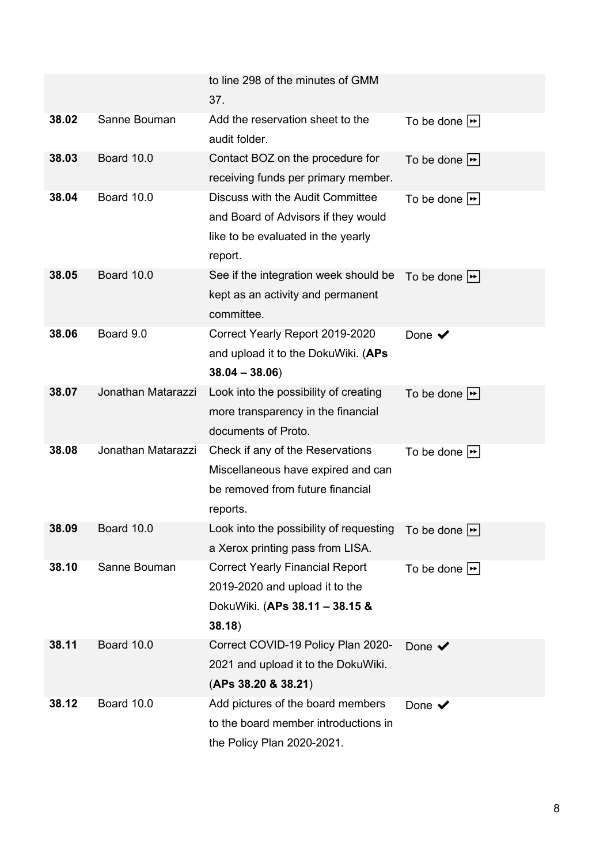|       |                    | to line 298 of the minutes of GMM<br>37.                                                                                 |                                  |
|-------|--------------------|--------------------------------------------------------------------------------------------------------------------------|----------------------------------|
| 38.02 | Sanne Bouman       | Add the reservation sheet to the<br>audit folder.                                                                        | To be done $\blacktriangleright$ |
| 38.03 | Board 10.0         | Contact BOZ on the procedure for<br>receiving funds per primary member.                                                  | To be done $\blacktriangleright$ |
| 38.04 | Board 10.0         | Discuss with the Audit Committee<br>and Board of Advisors if they would<br>like to be evaluated in the yearly<br>report. | To be done $\blacktriangleright$ |
| 38.05 | Board 10.0         | See if the integration week should be<br>kept as an activity and permanent<br>committee.                                 | To be done $ \rightarrow $       |
| 38.06 | Board 9.0          | Correct Yearly Report 2019-2020<br>and upload it to the DokuWiki. (APs<br>$38.04 - 38.06$                                | Done $\checkmark$                |
| 38.07 | Jonathan Matarazzi | Look into the possibility of creating<br>more transparency in the financial<br>documents of Proto.                       | To be done $\blacktriangleright$ |
| 38.08 | Jonathan Matarazzi | Check if any of the Reservations<br>Miscellaneous have expired and can<br>be removed from future financial<br>reports.   | To be done $\blacktriangleright$ |
| 38.09 | Board 10.0         | Look into the possibility of requesting To be done $\rightarrow$<br>a Xerox printing pass from LISA.                     |                                  |
| 38.10 | Sanne Bouman       | <b>Correct Yearly Financial Report</b><br>2019-2020 and upload it to the<br>DokuWiki. (APs 38.11 - 38.15 &<br>38.18)     | To be done $\blacktriangleright$ |
| 38.11 | Board 10.0         | Correct COVID-19 Policy Plan 2020-<br>2021 and upload it to the DokuWiki.<br>(APs 38.20 & 38.21)                         | Done $\checkmark$                |
| 38.12 | Board 10.0         | Add pictures of the board members<br>to the board member introductions in<br>the Policy Plan 2020-2021.                  | Done $\checkmark$                |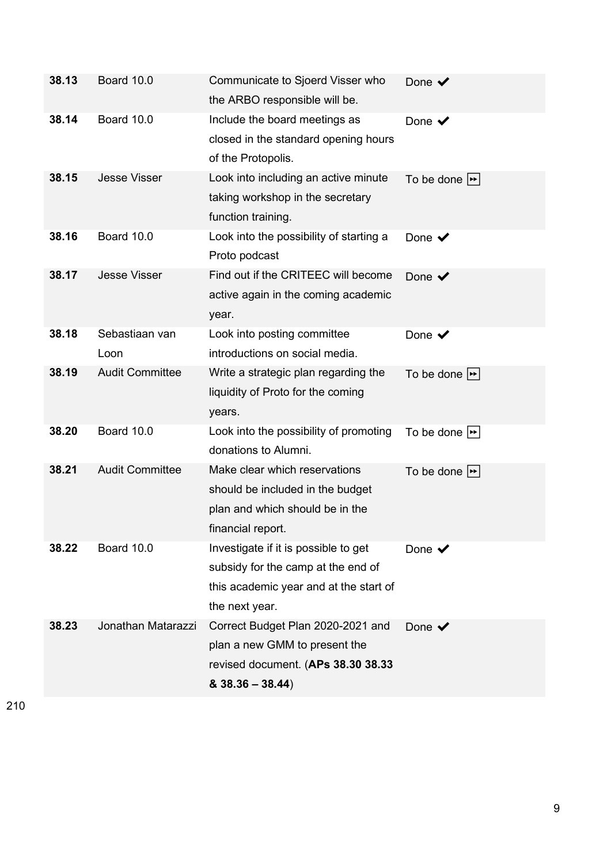| 38.13 | Board 10.0             | Communicate to Sjoerd Visser who<br>the ARBO responsible will be.                                                                      | Done $\blacktriangledown$        |
|-------|------------------------|----------------------------------------------------------------------------------------------------------------------------------------|----------------------------------|
| 38.14 | Board 10.0             | Include the board meetings as<br>closed in the standard opening hours<br>of the Protopolis.                                            | Done $\blacktriangledown$        |
| 38.15 | <b>Jesse Visser</b>    | Look into including an active minute<br>taking workshop in the secretary<br>function training.                                         | To be done $\blacktriangleright$ |
| 38.16 | Board 10.0             | Look into the possibility of starting a<br>Proto podcast                                                                               | Done $\blacktriangledown$        |
| 38.17 | <b>Jesse Visser</b>    | Find out if the CRITEEC will become<br>active again in the coming academic<br>year.                                                    | Done $\checkmark$                |
| 38.18 | Sebastiaan van<br>Loon | Look into posting committee<br>introductions on social media.                                                                          | Done $\blacktriangledown$        |
| 38.19 | <b>Audit Committee</b> | Write a strategic plan regarding the<br>liquidity of Proto for the coming<br>years.                                                    | To be done $\blacktriangleright$ |
| 38.20 | Board 10.0             | Look into the possibility of promoting<br>donations to Alumni.                                                                         | To be done $\blacktriangleright$ |
| 38.21 | <b>Audit Committee</b> | Make clear which reservations<br>should be included in the budget<br>plan and which should be in the<br>financial report.              | To be done $\blacktriangleright$ |
| 38.22 | Board 10.0             | Investigate if it is possible to get<br>subsidy for the camp at the end of<br>this academic year and at the start of<br>the next year. | Done $\blacktriangledown$        |
| 38.23 | Jonathan Matarazzi     | Correct Budget Plan 2020-2021 and<br>plan a new GMM to present the<br>revised document. (APs 38.30 38.33<br>$& 38.36 - 38.44)$         | Done $\checkmark$                |

210